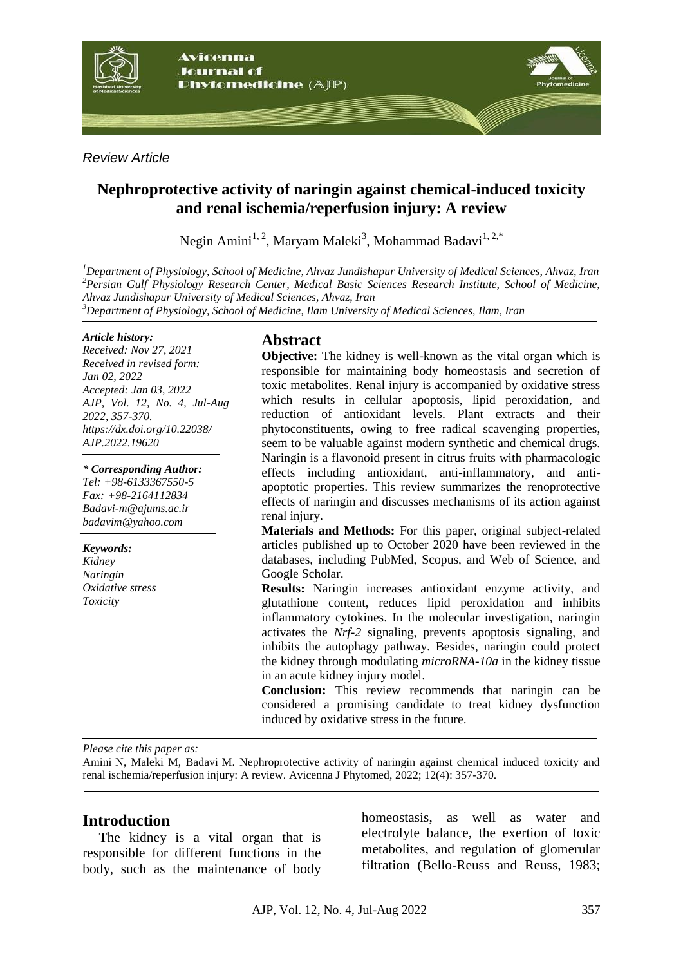

*Review Article*

# **Nephroprotective activity of naringin against chemical-induced toxicity and renal ischemia/reperfusion injury: A review**

Negin Amini<sup>1, 2</sup>, Maryam Maleki<sup>3</sup>, Mohammad Badavi<sup>1, 2,\*</sup>

*<sup>1</sup>Department of Physiology, School of Medicine, Ahvaz Jundishapur University of Medical Sciences, Ahvaz, Iran <sup>2</sup>Persian Gulf Physiology Research Center, Medical Basic Sciences Research Institute, School of Medicine, Ahvaz Jundishapur University of Medical Sciences, Ahvaz, Iran*

*<sup>3</sup>Department of Physiology, School of Medicine, Ilam University of Medical Sciences, Ilam, Iran*

#### *Article history:*

*Received: Nov 27, 2021 Received in revised form: Jan 02, 2022 Accepted: Jan 03, 2022 AJP, Vol. 12, No. 4, Jul-Aug 2022, 357-370. https://dx.doi.org/10.22038/ AJP.2022.19620*

*\* Corresponding Author:*

*Tel: +98-6133367550-5 Fax: +98-2164112834 [Badavi-m@ajums.ac.ir](mailto:Badavi-m@ajums.ac.ir) badavim@yahoo.com*

*Keywords:* 

*Kidney Naringin Oxidative stress Toxicity*

# **Abstract**

**Objective:** The kidney is well-known as the vital organ which is responsible for maintaining body homeostasis and secretion of toxic metabolites. Renal injury is accompanied by oxidative stress which results in cellular apoptosis, lipid peroxidation, and reduction of antioxidant levels. Plant extracts and their phytoconstituents, owing to free radical scavenging properties, seem to be valuable against modern synthetic and chemical drugs. Naringin is a flavonoid present in citrus fruits with pharmacologic effects including antioxidant, anti-inflammatory, and antiapoptotic properties. This review summarizes the renoprotective effects of naringin and discusses mechanisms of its action against renal injury.

**Materials and Methods:** For this paper, original subject-related articles published up to October 2020 have been reviewed in the databases, including PubMed, Scopus, and Web of Science, and Google Scholar.

**Results:** Naringin increases antioxidant enzyme activity, and glutathione content, reduces lipid peroxidation and inhibits inflammatory cytokines. In the molecular investigation, naringin activates the *Nrf-2* signaling, prevents apoptosis signaling, and inhibits the autophagy pathway. Besides, naringin could protect the kidney through modulating *microRNA-10a* in the kidney tissue in an acute kidney injury model.

**Conclusion:** This review recommends that naringin can be considered a promising candidate to treat kidney dysfunction induced by oxidative stress in the future.

*Please cite this paper as:* 

Amini N, Maleki M, Badavi M. Nephroprotective activity of naringin against chemical induced toxicity and renal ischemia/reperfusion injury: A review. Avicenna J Phytomed, 2022; 12(4): 357-370.

## **Introduction**

The kidney is a vital organ that is responsible for different functions in the body, such as the maintenance of body homeostasis, as well as water and electrolyte balance, the exertion of toxic metabolites, and regulation of glomerular filtration (Bello-Reuss and Reuss, 1983;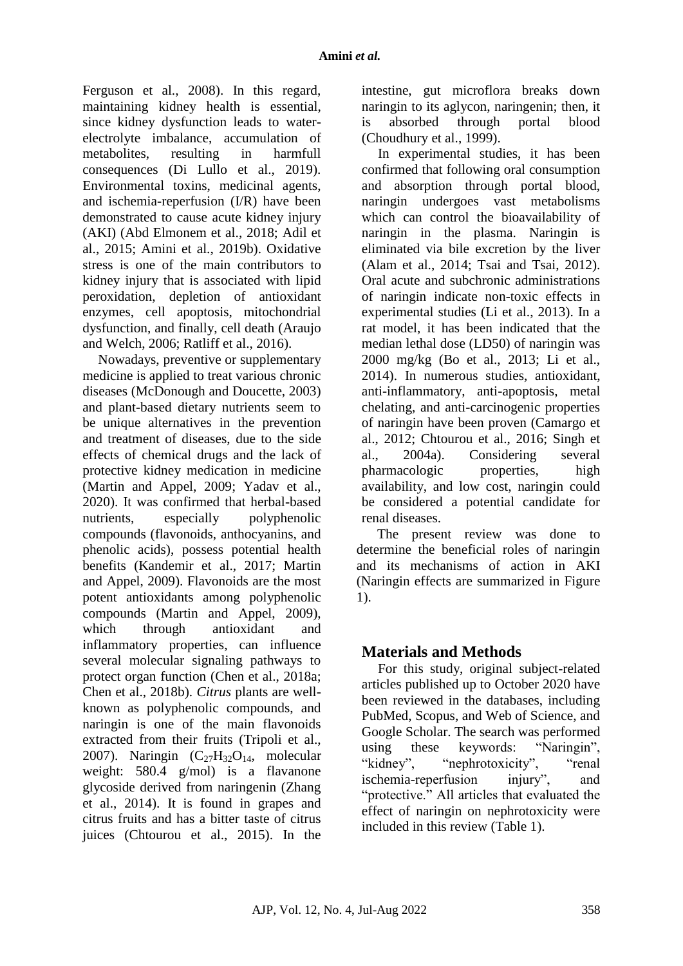Ferguson et al., 2008). In this regard, maintaining kidney health is essential, since kidney dysfunction leads to waterelectrolyte imbalance, accumulation of metabolites, resulting in harmfull consequences (Di Lullo et al., 2019). Environmental toxins, medicinal agents, and ischemia-reperfusion (I/R) have been demonstrated to cause acute kidney injury (AKI) (Abd Elmonem et al., 2018; Adil et al., 2015; Amini et al., 2019b). Oxidative stress is one of the main contributors to kidney injury that is associated with lipid peroxidation, depletion of antioxidant enzymes, cell apoptosis, mitochondrial dysfunction, and finally, cell death (Araujo and Welch, 2006; Ratliff et al., 2016).

Nowadays, preventive or supplementary medicine is applied to treat various chronic diseases (McDonough and Doucette, 2003) and plant-based dietary nutrients seem to be unique alternatives in the prevention and treatment of diseases, due to the side effects of chemical drugs and the lack of protective kidney medication in medicine (Martin and Appel, 2009; Yadav et al., 2020). It was confirmed that herbal-based nutrients, especially polyphenolic compounds (flavonoids, anthocyanins, and phenolic acids), possess potential health benefits (Kandemir et al., 2017; Martin and Appel, 2009). Flavonoids are the most potent antioxidants among polyphenolic compounds (Martin and Appel, 2009), which through antioxidant and inflammatory properties, can influence several molecular signaling pathways to protect organ function (Chen et al., 2018a; Chen et al., 2018b). *Citrus* plants are wellknown as polyphenolic compounds, and naringin is one of the main flavonoids extracted from their fruits (Tripoli et al., 2007). Naringin  $(C_{27}H_{32}O_{14}$ , molecular weight: 580.4 g/mol) is a flavanone glycoside derived from naringenin (Zhang et al., 2014). It is found in grapes and citrus fruits and has a bitter taste of citrus juices (Chtourou et al., 2015). In the

intestine, gut microflora breaks down naringin to its aglycon, naringenin; then, it is absorbed through portal blood (Choudhury et al., 1999).

In experimental studies, it has been confirmed that following oral consumption and absorption through portal blood, naringin undergoes vast metabolisms which can control the bioavailability of naringin in the plasma. Naringin is eliminated via bile excretion by the liver (Alam et al., 2014; Tsai and Tsai, 2012). Oral acute and subchronic administrations of naringin indicate non-toxic effects in experimental studies (Li et al., 2013). In a rat model, it has been indicated that the median lethal dose (LD50) of naringin was 2000 mg/kg (Bo et al., 2013; Li et al., 2014). In numerous studies, antioxidant, anti-inflammatory, anti-apoptosis, metal chelating, and anti-carcinogenic properties of naringin have been proven (Camargo et al., 2012; Chtourou et al., 2016; Singh et al., 2004a). Considering several pharmacologic properties, high availability, and low cost, naringin could be considered a potential candidate for renal diseases.

The present review was done to determine the beneficial roles of naringin and its mechanisms of action in AKI (Naringin effects are summarized in Figure 1).

## **Materials and Methods**

For this study, original subject-related articles published up to October 2020 have been reviewed in the databases, including PubMed, Scopus, and Web of Science, and Google Scholar. The search was performed using these keywords: "Naringin", "kidney", "nephrotoxicity", "renal ischemia-reperfusion injury", and "protective." All articles that evaluated the effect of naringin on nephrotoxicity were included in this review (Table 1).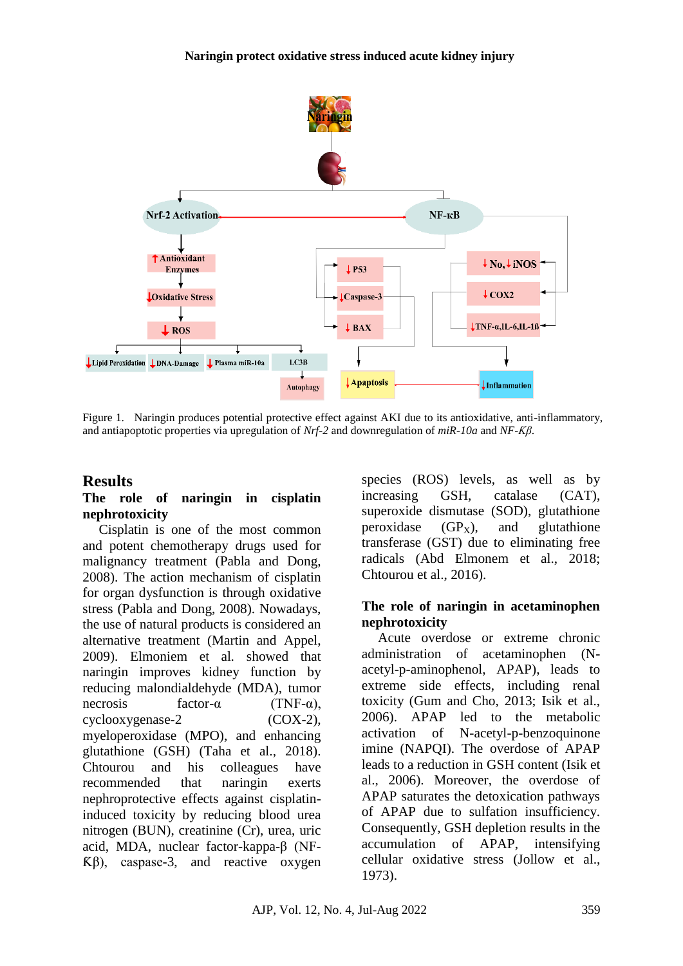

Figure 1. Naringin produces potential protective effect against AKI due to its antioxidative, anti-inflammatory, and antiapoptotic properties via upregulation of *Nrf-2* and downregulation of *miR-10a* and *NF-Ƙβ*.

### **Results**

#### **The role of naringin in cisplatin nephrotoxicity**

Cisplatin is one of the most common and potent chemotherapy drugs used for malignancy treatment (Pabla and Dong, 2008). The action mechanism of cisplatin for organ dysfunction is through oxidative stress (Pabla and Dong, 2008). Nowadays, the use of natural products is considered an alternative treatment (Martin and Appel, 2009). Elmoniem et al*.* showed that naringin improves kidney function by reducing malondialdehyde (MDA), tumor necrosis factor- $\alpha$  (TNF- $\alpha$ ), cyclooxygenase-2 (COX-2), myeloperoxidase (MPO), and enhancing glutathione (GSH) (Taha et al., 2018). Chtourou and his colleagues have recommended that naringin exerts nephroprotective effects against cisplatininduced toxicity by reducing blood urea nitrogen (BUN), creatinine (Cr), urea, uric acid, MDA, nuclear factor-kappa-β (NF- $K\beta$ ), caspase-3, and reactive oxygen

species (ROS) levels, as well as by increasing GSH, catalase (CAT), superoxide dismutase (SOD), glutathione peroxidase  $(GP_X)$ , and glutathione transferase (GST) due to eliminating free radicals (Abd Elmonem et al., 2018; Chtourou et al., 2016).

#### **The role of naringin in acetaminophen nephrotoxicity**

Acute overdose or extreme chronic administration of acetaminophen (Nacetyl-p-aminophenol, APAP), leads to extreme side effects, including renal toxicity (Gum and Cho, 2013; Isik et al., 2006). APAP led to the metabolic activation of N-acetyl-p-benzoquinone imine (NAPQI). The overdose of APAP leads to a reduction in GSH content (Isik et al., 2006). Moreover, the overdose of APAP saturates the detoxication pathways of APAP due to sulfation insufficiency. Consequently, GSH depletion results in the accumulation of APAP, intensifying cellular oxidative stress (Jollow et al., 1973).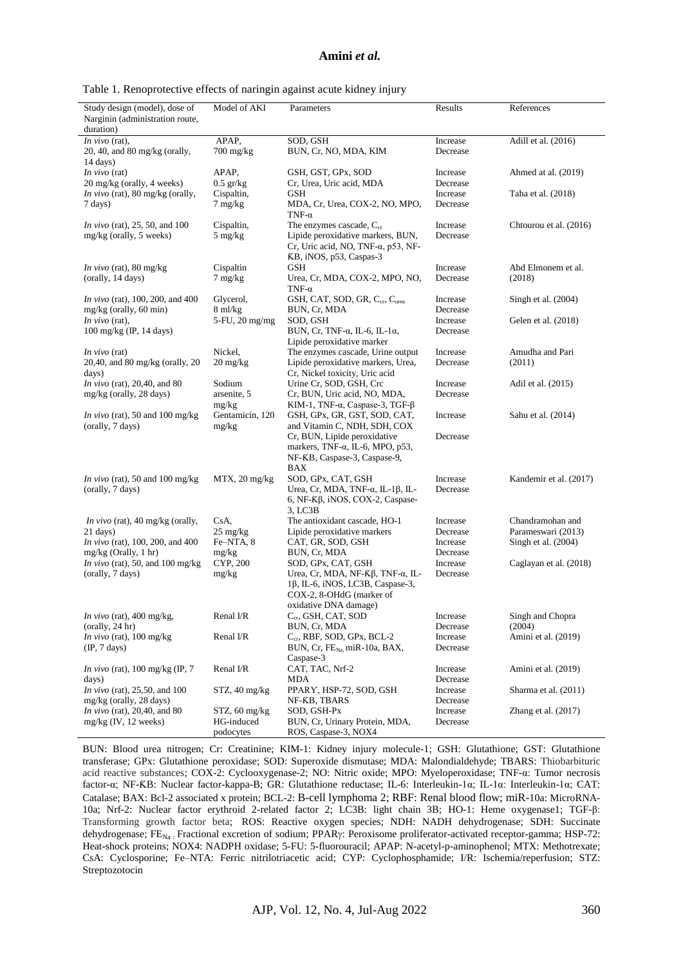#### **Amini** *et al.*

|  | Table 1. Renoprotective effects of naringin against acute kidney injury |  |  |  |  |  |
|--|-------------------------------------------------------------------------|--|--|--|--|--|
|  |                                                                         |  |  |  |  |  |
|  |                                                                         |  |  |  |  |  |

| Study design (model), dose of<br>Narginin (administration route,<br>duration) | Model of AKI                     | Parameters                                                                                                                                   | Results              | References             |
|-------------------------------------------------------------------------------|----------------------------------|----------------------------------------------------------------------------------------------------------------------------------------------|----------------------|------------------------|
| In vivo $(rat)$ ,<br>$20, 40,$ and $80$ mg/kg (orally,                        | APAP,<br>$700$ mg/kg             | SOD, GSH<br>BUN, Cr, NO, MDA, KIM                                                                                                            | Increase<br>Decrease | Adill et al. (2016)    |
| $14 \text{ days}$<br><i>In vivo</i> (rat)<br>20 mg/kg (orally, 4 weeks)       | APAP,                            | GSH, GST, GPx, SOD                                                                                                                           | Increase             | Ahmed at al. (2019)    |
|                                                                               | $0.5$ gr/kg                      | Cr, Urea, Uric acid, MDA                                                                                                                     | Decrease             |                        |
| In vivo (rat), 80 mg/kg (orally,<br>7 days)                                   | Cispaltin,<br>$7 \text{ mg/kg}$  | GSH<br>MDA, Cr, Urea, COX-2, NO, MPO,<br>TNF- $\alpha$                                                                                       | Increase<br>Decrease | Taha et al. (2018)     |
| <i>In vivo</i> (rat), 25, 50, and 100<br>mg/kg (orally, 5 weeks)              | Cispaltin,<br>$5 \text{ mg/kg}$  | The enzymes cascade, $C_{cr}$<br>Lipide peroxidative markers, BUN,<br>Cr, Uric acid, NO, TNF- $\alpha$ , p53, NF-<br>KB, iNOS, p53, Caspas-3 | Increase<br>Decrease | Chtourou et al. (2016) |
| <i>In vivo</i> (rat), 80 mg/kg                                                | Cispaltin                        | GSH                                                                                                                                          | Increase             | Abd Elmonem et al.     |
| (orally, 14 days)                                                             | $7 \text{ mg/kg}$                | Urea, Cr, MDA, COX-2, MPO, NO,<br>TNF- $\alpha$                                                                                              | Decrease             | (2018)                 |
| <i>In vivo</i> (rat), 100, 200, and 400<br>$mg/kg$ (orally, 60 min)           | Glycerol,<br>$8 \text{ ml/kg}$   | GSH, CAT, SOD, GR, C <sub>cr</sub> , C <sub>urea</sub><br>BUN, Cr, MDA                                                                       | Increase<br>Decrease | Singh et al. (2004)    |
| In vivo $(rat)$ ,                                                             | 5-FU, 20 mg/mg                   | SOD, GSH                                                                                                                                     | Increase             | Gelen et al. (2018)    |
| 100 mg/kg (IP, 14 days)                                                       |                                  | BUN, Cr, TNF- $\alpha$ , IL-6, IL-1 $\alpha$ ,<br>Lipide peroxidative marker                                                                 | Decrease             |                        |
| In vivo $(rat)$                                                               | Nickel,                          | The enzymes cascade, Urine output                                                                                                            | Increase             | Amudha and Pari        |
| 20,40, and 80 mg/kg (orally, 20<br>days)                                      | $20 \frac{\text{mg}}{\text{kg}}$ | Lipide peroxidative markers, Urea,<br>Cr, Nickel toxicity, Uric acid                                                                         | Decrease             | (2011)                 |
| <i>In vivo</i> (rat), 20,40, and 80                                           | Sodium                           | Urine Cr, SOD, GSH, Crc                                                                                                                      | Increase             | Adil et al. (2015)     |
| mg/kg (orally, 28 days)                                                       | arsenite, 5<br>mg/kg             | Cr, BUN, Uric acid, NO, MDA,<br>KIM-1, TNF- $\alpha$ , Caspase-3, TGF- $\beta$                                                               | Decrease             |                        |
| <i>In vivo</i> (rat), 50 and 100 mg/kg<br>(orally, 7 days)                    | Gentamicin, 120<br>mg/kg         | GSH, GPx, GR, GST, SOD, CAT,<br>and Vitamin C, NDH, SDH, COX                                                                                 | Increase             | Sahu et al. (2014)     |
|                                                                               |                                  | Cr, BUN, Lipide peroxidative<br>markers, TNF- $\alpha$ , IL-6, MPO, p53,<br>NF-KB, Caspase-3, Caspase-9,<br>BAX                              | Decrease             |                        |
| In vivo (rat), 50 and 100 mg/kg<br>(orally, 7 days)                           | $MTX$ , 20 mg/kg                 | SOD, GPx, CAT, GSH<br>Urea, Cr, MDA, TNF- $\alpha$ , IL-1 $\beta$ , IL-<br>6, NF-Kβ, iNOS, COX-2, Caspase-<br>3, LC3B                        | Increase<br>Decrease | Kandemir et al. (2017) |
| In vivo (rat), 40 mg/kg (orally,                                              | CsA,                             | The antioxidant cascade, HO-1                                                                                                                | Increase             | Chandramohan and       |
| $21 \text{ days}$                                                             | $25 \text{ mg/kg}$               | Lipide peroxidative markers                                                                                                                  | Decrease             | Parameswari (2013)     |
| In vivo (rat), 100, 200, and 400                                              | Fe-NTA, 8                        | CAT, GR, SOD, GSH                                                                                                                            | Increase             | Singh et al. (2004)    |
| $mg/kg$ (Orally, 1 hr)                                                        | mg/kg                            | BUN, Cr, MDA                                                                                                                                 | Decrease             |                        |
| In vivo (rat), 50, and 100 mg/kg                                              | CYP, 200                         | SOD, GPx, CAT, GSH                                                                                                                           | Increase             | Caglayan et al. (2018) |
| (orally, 7 days)                                                              | mg/kg                            | Urea, Cr, MDA, NF- $K\beta$ , TNF- $\alpha$ , IL-<br>1β, IL-6, iNOS, LC3B, Caspase-3,<br>COX-2, 8-OHdG (marker of<br>oxidative DNA damage)   | Decrease             |                        |
| In vivo (rat), 400 mg/kg,                                                     | Renal I/R                        | C <sub>cr</sub> , GSH, CAT, SOD                                                                                                              | Increase             | Singh and Chopra       |
| $\text{(orally, 24 hr)}$                                                      |                                  | BUN, Cr, MDA                                                                                                                                 | Decrease             | (2004)                 |
| In vivo (rat), 100 mg/kg                                                      | Renal I/R                        | $C_{cr}$ , RBF, SOD, GPx, BCL-2                                                                                                              | Increase             | Amini et al. (2019)    |
| $(\text{IP}, 7 \text{ days})$                                                 |                                  | BUN, Cr, FE <sub>Na</sub> miR-10a, BAX,<br>Caspase-3                                                                                         | Decrease             |                        |
| <i>In vivo</i> (rat), $100 \text{ mg/kg (IP, 7)}$<br>days)                    | Renal I/R                        | CAT, TAC, Nrf-2<br>MDA                                                                                                                       | Increase<br>Decrease | Amini et al. (2019)    |
| <i>In vivo</i> (rat), 25,50, and 100<br>mg/kg (orally, 28 days)               | STZ, 40 mg/kg                    | PPARY, HSP-72, SOD, GSH<br>NF-KB, TBARS                                                                                                      | Increase<br>Decrease | Sharma et al. (2011)   |
| <i>In vivo</i> (rat), 20,40, and 80                                           | $STZ$ , 60 mg/kg                 | SOD, GSH-Px                                                                                                                                  | Increase             | Zhang et al. $(2017)$  |
| $mg/kg$ (IV, 12 weeks)                                                        | HG-induced                       | BUN, Cr, Urinary Protein, MDA,                                                                                                               | Decrease             |                        |
|                                                                               | podocytes                        | ROS, Caspase-3, NOX4                                                                                                                         |                      |                        |

BUN: Blood urea nitrogen; Cr: Creatinine; KIM-1: Kidney injury molecule-1; GSH: Glutathione; GST: Glutathione transferase; GPx: Glutathione peroxidase; SOD: Superoxide dismutase; MDA: Malondialdehyde; TBARS: Thiobarbituric acid reactive substances; COX-2: Cyclooxygenase-2; NO: Nitric oxide; MPO: Myeloperoxidase; TNF-α: Tumor necrosis factor-α; NF-ƘB: Nuclear factor-kappa-B; GR: Glutathione reductase; IL-6: Interleukin-1α; IL-1α: Interleukin-1α; CAT: Catalase; BAX: Bcl-2 associated x protein; BCL-2: B-cell lymphoma 2; RBF: Renal blood flow; miR-10a: MicroRNA-10a; Nrf-2: Nuclear factor erythroid 2-related factor 2; LC3B: light chain 3B; HO-1: Heme oxygenase1; TGF-β: Transforming growth factor beta; ROS: Reactive oxygen species; NDH: NADH dehydrogenase; SDH: Succinate dehydrogenase; FE<sub>Na:</sub> Fractional excretion of sodium; PPAR<sub>Y</sub>: Peroxisome proliferator-activated receptor-gamma; HSP-72: Heat-shock proteins; NOX4: NADPH oxidase; 5-FU: 5-fluorouracil; APAP: N-acetyl-p-aminophenol; MTX: Methotrexate; CsA: Cyclosporine; Fe–NTA: Ferric nitrilotriacetic acid; CYP: Cyclophosphamide; I/R: Ischemia/reperfusion; STZ: Streptozotocin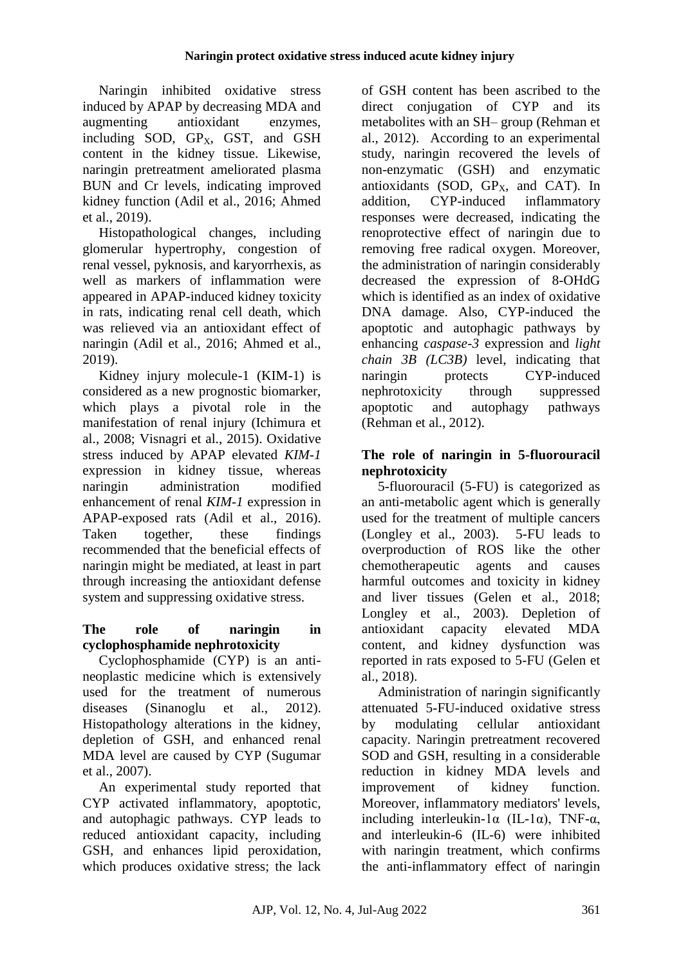Naringin inhibited oxidative stress induced by APAP by decreasing MDA and augmenting antioxidant enzymes, including SOD, GP<sub>x</sub>, GST, and GSH content in the kidney tissue. Likewise, naringin pretreatment ameliorated plasma BUN and Cr levels, indicating improved kidney function (Adil et al., 2016; Ahmed et al., 2019).

Histopathological changes, including glomerular hypertrophy, congestion of renal vessel, pyknosis, and karyorrhexis, as well as markers of inflammation were appeared in APAP-induced kidney toxicity in rats, indicating renal cell death, which was relieved via an antioxidant effect of naringin (Adil et al., 2016; Ahmed et al., 2019).

Kidney injury molecule-1 (KIM-1) is considered as a new prognostic biomarker, which plays a pivotal role in the manifestation of renal injury (Ichimura et al., 2008; Visnagri et al., 2015). Oxidative stress induced by APAP elevated *KIM-1* expression in kidney tissue, whereas naringin administration modified enhancement of renal *KIM-1* expression in APAP-exposed rats (Adil et al., 2016). Taken together, these findings recommended that the beneficial effects of naringin might be mediated, at least in part through increasing the antioxidant defense system and suppressing oxidative stress.

### **The role of naringin in cyclophosphamide nephrotoxicity**

Cyclophosphamide (CYP) is an antineoplastic medicine which is extensively used for the treatment of numerous diseases (Sinanoglu et al., 2012). Histopathology alterations in the kidney, depletion of GSH, and enhanced renal MDA level are caused by CYP (Sugumar et al., 2007).

An experimental study reported that CYP activated inflammatory, apoptotic, and autophagic pathways. CYP leads to reduced antioxidant capacity, including GSH, and enhances lipid peroxidation, which produces oxidative stress; the lack of GSH content has been ascribed to the direct conjugation of CYP and its metabolites with an SH– group (Rehman et al., 2012). According to an experimental study, naringin recovered the levels of non-enzymatic (GSH) and enzymatic antioxidants (SOD,  $GP_x$ , and  $CAT$ ). In addition, CYP-induced inflammatory responses were decreased, indicating the renoprotective effect of naringin due to removing free radical oxygen. Moreover, the administration of naringin considerably decreased the expression of 8-OHdG which is identified as an index of oxidative DNA damage. Also, CYP-induced the apoptotic and autophagic pathways by enhancing *caspase-3* expression and *light chain 3B (LC3B)* level, indicating that naringin protects CYP-induced nephrotoxicity through suppressed apoptotic and autophagy pathways (Rehman et al., 2012).

## **The role of naringin in 5-fluorouracil nephrotoxicity**

5-fluorouracil (5-FU) is categorized as an anti-metabolic agent which is generally used for the treatment of multiple cancers (Longley et al., 2003). 5-FU leads to overproduction of ROS like the other chemotherapeutic agents and causes harmful outcomes and toxicity in kidney and liver tissues (Gelen et al., 2018; Longley et al., 2003). Depletion of antioxidant capacity elevated MDA content, and kidney dysfunction was reported in rats exposed to 5-FU (Gelen et al., 2018).

Administration of naringin significantly attenuated 5-FU-induced oxidative stress by modulating cellular antioxidant capacity. Naringin pretreatment recovered SOD and GSH, resulting in a considerable reduction in kidney MDA levels and improvement of kidney function. Moreover, inflammatory mediators' levels, including interleukin-1 $\alpha$  (IL-1 $\alpha$ ), TNF- $\alpha$ , and interleukin-6 (IL-6) were inhibited with naringin treatment, which confirms the anti-inflammatory effect of naringin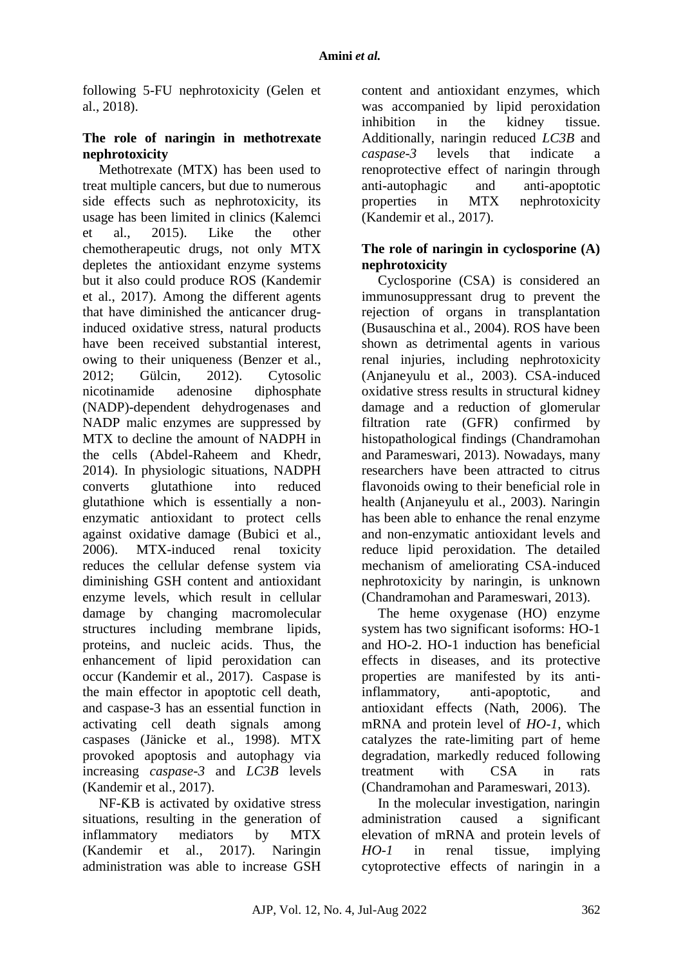following 5-FU nephrotoxicity (Gelen et al., 2018).

#### **The role of naringin in methotrexate nephrotoxicity**

Methotrexate (MTX) has been used to treat multiple cancers, but due to numerous side effects such as nephrotoxicity, its usage has been limited in clinics (Kalemci et al., 2015). Like the other chemotherapeutic drugs, not only MTX depletes the antioxidant enzyme systems but it also could produce ROS (Kandemir et al., 2017). Among the different agents that have diminished the anticancer druginduced oxidative stress, natural products have been received substantial interest, owing to their uniqueness (Benzer et al., 2012; Gülcin, 2012). Cytosolic nicotinamide adenosine diphosphate (NADP)-dependent dehydrogenases and NADP malic enzymes are suppressed by MTX to decline the amount of NADPH in the cells (Abdel-Raheem and Khedr, 2014). In physiologic situations, NADPH converts glutathione into reduced glutathione which is essentially a nonenzymatic antioxidant to protect cells against oxidative damage (Bubici et al., 2006). MTX-induced renal toxicity reduces the cellular defense system via diminishing GSH content and antioxidant enzyme levels, which result in cellular damage by changing macromolecular structures including membrane lipids, proteins, and nucleic acids. Thus, the enhancement of lipid peroxidation can occur (Kandemir et al., 2017). Caspase is the main effector in apoptotic cell death, and caspase-3 has an essential function in activating cell death signals among caspases (Jänicke et al., 1998). MTX provoked apoptosis and autophagy via increasing *caspase-3* and *LC3B* levels (Kandemir et al., 2017).

NF-ƘB is activated by oxidative stress situations, resulting in the generation of inflammatory mediators by MTX (Kandemir et al., 2017). Naringin administration was able to increase GSH

content and antioxidant enzymes, which was accompanied by lipid peroxidation inhibition in the kidney tissue. Additionally, naringin reduced *LC3B* and *caspase-3* levels that indicate a renoprotective effect of naringin through anti-autophagic and anti-apoptotic properties in MTX nephrotoxicity (Kandemir et al., 2017).

#### **The role of naringin in cyclosporine (A) nephrotoxicity**

Cyclosporine (CSA) is considered an immunosuppressant drug to prevent the rejection of organs in transplantation (Busauschina et al., 2004). ROS have been shown as detrimental agents in various renal injuries, including nephrotoxicity (Anjaneyulu et al., 2003). CSA-induced oxidative stress results in structural kidney damage and a reduction of glomerular filtration rate (GFR) confirmed by histopathological findings (Chandramohan and Parameswari, 2013). Nowadays, many researchers have been attracted to citrus flavonoids owing to their beneficial role in health (Anjaneyulu et al., 2003). Naringin has been able to enhance the renal enzyme and non-enzymatic antioxidant levels and reduce lipid peroxidation. The detailed mechanism of ameliorating CSA-induced nephrotoxicity by naringin, is unknown (Chandramohan and Parameswari, 2013).

The heme oxygenase (HO) enzyme system has two significant isoforms: HO-1 and HO-2. HO-1 induction has beneficial effects in diseases, and its protective properties are manifested by its antiinflammatory, anti-apoptotic, and antioxidant effects (Nath, 2006). The mRNA and protein level of *HO-1*, which catalyzes the rate-limiting part of heme degradation, markedly reduced following treatment with CSA in rats (Chandramohan and Parameswari, 2013).

In the molecular investigation, naringin administration caused a significant elevation of mRNA and protein levels of *HO-1* in renal tissue, implying cytoprotective effects of naringin in a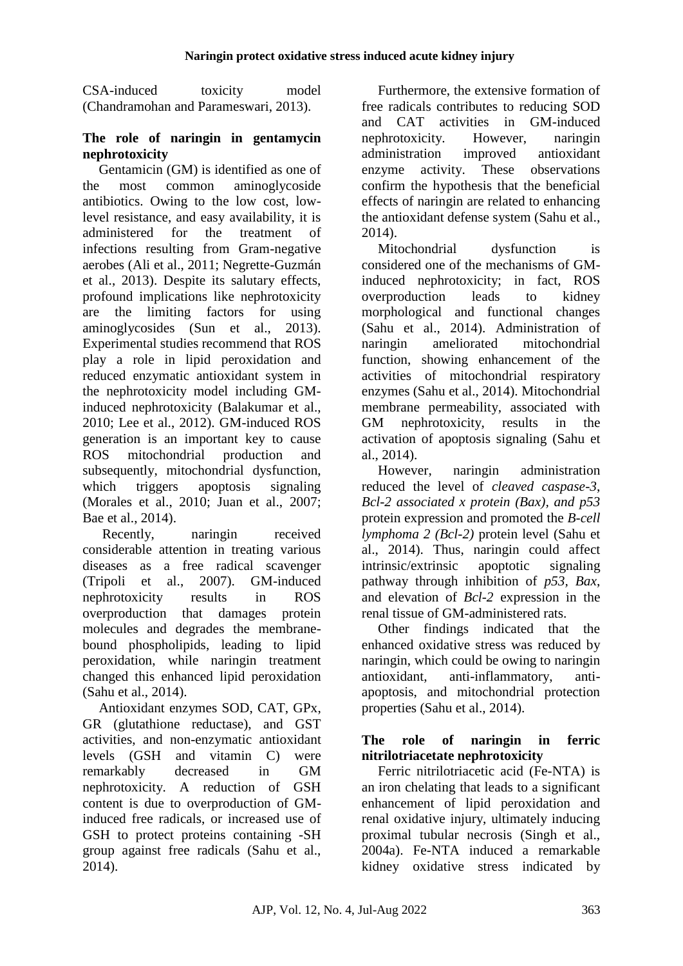CSA-induced toxicity model (Chandramohan and Parameswari, 2013).

#### **The role of naringin in gentamycin nephrotoxicity**

Gentamicin (GM) is identified as one of the most common aminoglycoside antibiotics. Owing to the low cost, lowlevel resistance, and easy availability, it is administered for the treatment of infections resulting from Gram-negative aerobes (Ali et al., 2011; Negrette-Guzmán et al., 2013). Despite its salutary effects, profound implications like nephrotoxicity are the limiting factors for using aminoglycosides (Sun et al., 2013). Experimental studies recommend that ROS play a role in lipid peroxidation and reduced enzymatic antioxidant system in the nephrotoxicity model including GMinduced nephrotoxicity (Balakumar et al., 2010; Lee et al., 2012). GM-induced ROS generation is an important key to cause ROS mitochondrial production and subsequently, mitochondrial dysfunction, which triggers apoptosis signaling (Morales et al., 2010; Juan et al., 2007; Bae et al., 2014).

Recently, naringin received considerable attention in treating various diseases as a free radical scavenger (Tripoli et al., 2007). GM-induced nephrotoxicity results in ROS overproduction that damages protein molecules and degrades the membranebound phospholipids, leading to lipid peroxidation, while naringin treatment changed this enhanced lipid peroxidation (Sahu et al., 2014).

Antioxidant enzymes SOD, CAT, GPx, GR (glutathione reductase), and GST activities, and non-enzymatic antioxidant levels (GSH and vitamin C) were remarkably decreased in GM nephrotoxicity. A reduction of GSH content is due to overproduction of GMinduced free radicals, or increased use of GSH to protect proteins containing -SH group against free radicals (Sahu et al., 2014).

Furthermore, the extensive formation of free radicals contributes to reducing SOD and CAT activities in GM-induced nephrotoxicity. However, naringin administration improved antioxidant enzyme activity. These observations confirm the hypothesis that the beneficial effects of naringin are related to enhancing the antioxidant defense system (Sahu et al., 2014).

Mitochondrial dysfunction is considered one of the mechanisms of GMinduced nephrotoxicity; in fact, ROS overproduction leads to kidney morphological and functional changes (Sahu et al., 2014). Administration of naringin ameliorated mitochondrial function, showing enhancement of the activities of mitochondrial respiratory enzymes (Sahu et al., 2014). Mitochondrial membrane permeability, associated with GM nephrotoxicity, results in the activation of apoptosis signaling (Sahu et al., 2014).

However, naringin administration reduced the level of *cleaved caspase-3*, *Bcl-2 associated x protein (Bax), and p53* protein expression and promoted the *B-cell lymphoma 2 (Bcl-2)* protein level (Sahu et al., 2014). Thus, naringin could affect intrinsic/extrinsic apoptotic signaling pathway through inhibition of *p53, Bax*, and elevation of *Bcl-2* expression in the renal tissue of GM-administered rats.

Other findings indicated that the enhanced oxidative stress was reduced by naringin, which could be owing to naringin antioxidant, anti-inflammatory, antiapoptosis, and mitochondrial protection properties (Sahu et al., 2014).

#### **The role of naringin in ferric nitrilotriacetate nephrotoxicity**

Ferric nitrilotriacetic acid (Fe-NTA) is an iron chelating that leads to a significant enhancement of lipid peroxidation and renal oxidative injury, ultimately inducing proximal tubular necrosis (Singh et al., 2004a). Fe-NTA induced a remarkable kidney oxidative stress indicated by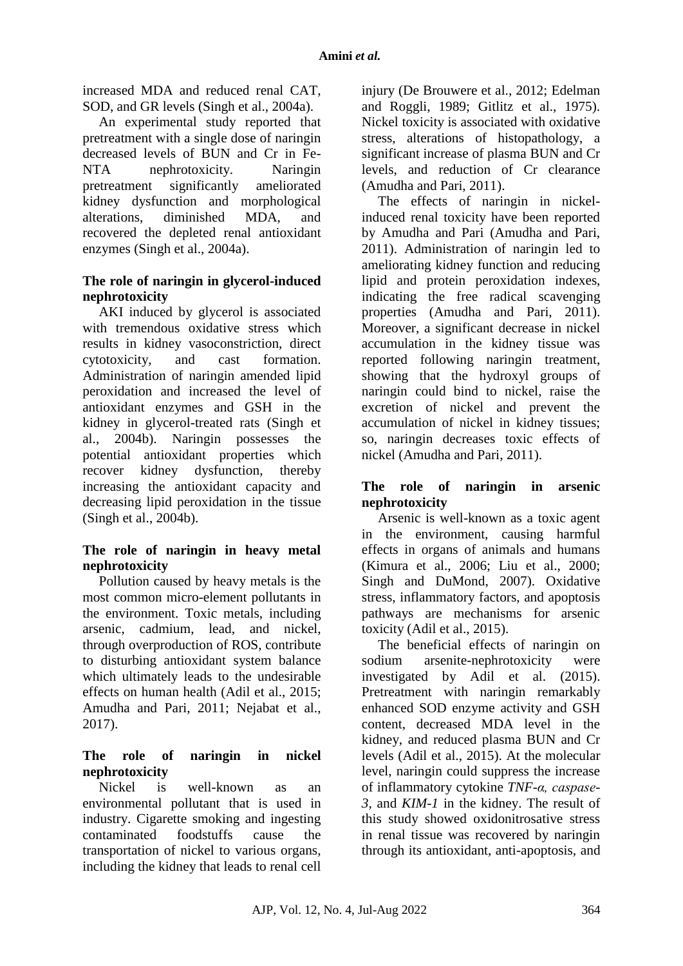increased MDA and reduced renal CAT, SOD, and GR levels (Singh et al., 2004a).

An experimental study reported that pretreatment with a single dose of naringin decreased levels of BUN and Cr in Fe-NTA nephrotoxicity. Naringin pretreatment significantly ameliorated kidney dysfunction and morphological alterations, diminished MDA, and recovered the depleted renal antioxidant enzymes (Singh et al., 2004a).

### **The role of naringin in glycerol-induced nephrotoxicity**

AKI induced by glycerol is associated with tremendous oxidative stress which results in kidney vasoconstriction, direct cytotoxicity, and cast formation. Administration of naringin amended lipid peroxidation and increased the level of antioxidant enzymes and GSH in the kidney in glycerol-treated rats (Singh et al., 2004b). Naringin possesses the potential antioxidant properties which recover kidney dysfunction, thereby increasing the antioxidant capacity and decreasing lipid peroxidation in the tissue (Singh et al., 2004b).

### **The role of naringin in heavy metal nephrotoxicity**

Pollution caused by heavy metals is the most common micro-element pollutants in the environment. Toxic metals, including arsenic, cadmium, lead, and nickel, through overproduction of ROS, contribute to disturbing antioxidant system balance which ultimately leads to the undesirable effects on human health (Adil et al., 2015; Amudha and Pari, 2011; Nejabat et al., 2017).

### **The role of naringin in nickel nephrotoxicity**

Nickel is well-known as an environmental pollutant that is used in industry. Cigarette smoking and ingesting contaminated foodstuffs cause the transportation of nickel to various organs, including the kidney that leads to renal cell injury (De Brouwere et al., 2012; Edelman and Roggli, 1989; Gitlitz et al., 1975). Nickel toxicity is associated with oxidative stress, alterations of histopathology, a significant increase of plasma BUN and Cr levels, and reduction of Cr clearance (Amudha and Pari, 2011).

The effects of naringin in nickelinduced renal toxicity have been reported by Amudha and Pari (Amudha and Pari, 2011). Administration of naringin led to ameliorating kidney function and reducing lipid and protein peroxidation indexes, indicating the free radical scavenging properties (Amudha and Pari, 2011). Moreover, a significant decrease in nickel accumulation in the kidney tissue was reported following naringin treatment, showing that the hydroxyl groups of naringin could bind to nickel, raise the excretion of nickel and prevent the accumulation of nickel in kidney tissues; so, naringin decreases toxic effects of nickel (Amudha and Pari, 2011).

### **The role of naringin in arsenic nephrotoxicity**

Arsenic is well-known as a toxic agent in the environment, causing harmful effects in organs of animals and humans (Kimura et al., 2006; Liu et al., 2000; Singh and DuMond, 2007). Oxidative stress, inflammatory factors, and apoptosis pathways are mechanisms for arsenic toxicity (Adil et al., 2015).

The beneficial effects of naringin on sodium arsenite-nephrotoxicity were investigated by Adil et al. (2015). Pretreatment with naringin remarkably enhanced SOD enzyme activity and GSH content, decreased MDA level in the kidney, and reduced plasma BUN and Cr levels (Adil et al., 2015). At the molecular level, naringin could suppress the increase of inflammatory cytokine *TNF-α, caspase-3,* and *KIM-1* in the kidney. The result of this study showed oxidonitrosative stress in renal tissue was recovered by naringin through its antioxidant, anti-apoptosis, and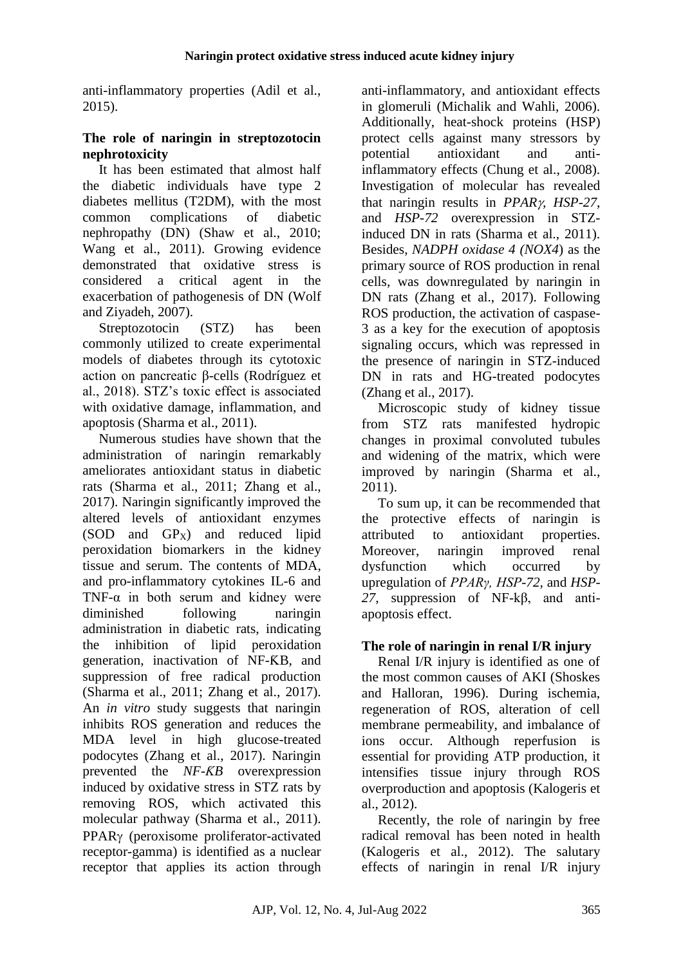anti-inflammatory properties (Adil et al., 2015).

#### **The role of naringin in streptozotocin nephrotoxicity**

It has been estimated that almost half the diabetic individuals have type 2 diabetes mellitus (T2DM), with the most common complications of diabetic nephropathy (DN) (Shaw et al., 2010; Wang et al., 2011). Growing evidence demonstrated that oxidative stress is considered a critical agent in the exacerbation of pathogenesis of DN (Wolf and Ziyadeh, 2007).

Streptozotocin (STZ) has been commonly utilized to create experimental models of diabetes through its cytotoxic action on pancreatic β-cells (Rodríguez et al., 2018). STZ's toxic effect is associated with oxidative damage, inflammation, and apoptosis (Sharma et al., 2011).

Numerous studies have shown that the administration of naringin remarkably ameliorates antioxidant status in diabetic rats (Sharma et al., 2011; Zhang et al., 2017). Naringin significantly improved the altered levels of antioxidant enzymes  $(SOD \quad and \quad GP<sub>X</sub>)$  and reduced lipid peroxidation biomarkers in the kidney tissue and serum. The contents of MDA, and pro-inflammatory cytokines IL-6 and TNF- $\alpha$  in both serum and kidney were diminished following naringin administration in diabetic rats, indicating the inhibition of lipid peroxidation generation, inactivation of NF-ƘB, and suppression of free radical production (Sharma et al., 2011; Zhang et al., 2017). An *in vitro* study suggests that naringin inhibits ROS generation and reduces the MDA level in high glucose-treated podocytes (Zhang et al., 2017). Naringin prevented the *NF-ƘB* overexpression induced by oxidative stress in STZ rats by removing ROS, which activated this molecular pathway (Sharma et al., 2011). PPAR<sub>y</sub> (peroxisome proliferator-activated receptor-gamma) is identified as a nuclear receptor that applies its action through

anti-inflammatory, and antioxidant effects in glomeruli (Michalik and Wahli, 2006). Additionally, heat-shock proteins (HSP) protect cells against many stressors by potential antioxidant and antiinflammatory effects (Chung et al., 2008). Investigation of molecular has revealed that naringin results in *PPAR, HSP-27*, and *HSP-72* overexpression in STZinduced DN in rats (Sharma et al., 2011). Besides, *NADPH oxidase 4 (NOX4*) as the primary source of ROS production in renal cells, was downregulated by naringin in DN rats (Zhang et al., 2017). Following ROS production, the activation of caspase-3 as a key for the execution of apoptosis signaling occurs, which was repressed in the presence of naringin in STZ-induced DN in rats and HG-treated podocytes (Zhang et al., 2017).

Microscopic study of kidney tissue from STZ rats manifested hydropic changes in proximal convoluted tubules and widening of the matrix, which were improved by naringin (Sharma et al., 2011).

To sum up, it can be recommended that the protective effects of naringin is attributed to antioxidant properties. Moreover, naringin improved renal dysfunction which occurred by upregulation of *PPARγ, HSP-72,* and *HSP-27,* suppression of NF-kβ, and antiapoptosis effect.

### **The role of naringin in renal I/R injury**

Renal I/R injury is identified as one of the most common causes of AKI (Shoskes and Halloran, 1996). During ischemia, regeneration of ROS, alteration of cell membrane permeability, and imbalance of ions occur. Although reperfusion is essential for providing ATP production, it intensifies tissue injury through ROS overproduction and apoptosis (Kalogeris et al., 2012).

Recently, the role of naringin by free radical removal has been noted in health (Kalogeris et al., 2012). The salutary effects of naringin in renal I/R injury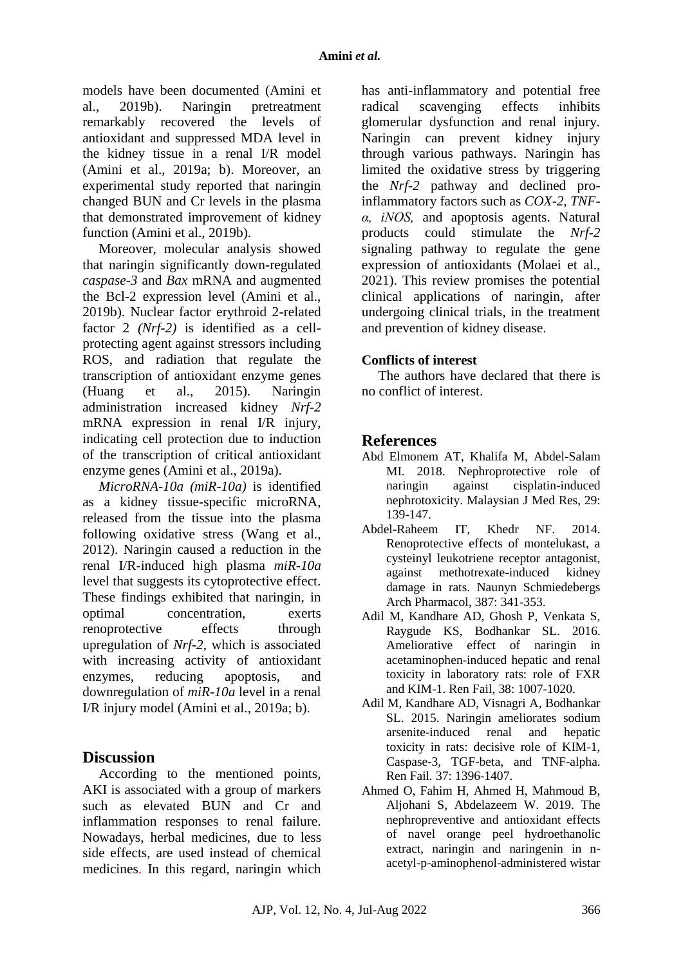models have been documented (Amini et al., 2019b). Naringin pretreatment remarkably recovered the levels of antioxidant and suppressed MDA level in the kidney tissue in a renal I/R model (Amini et al., 2019a; b). Moreover, an experimental study reported that naringin changed BUN and Cr levels in the plasma that demonstrated improvement of kidney function (Amini et al., 2019b).

Moreover, molecular analysis showed that naringin significantly down-regulated *caspase-3* and *Bax* mRNA and augmented the Bcl-2 expression level (Amini et al., 2019b). Nuclear factor erythroid 2-related factor 2 *(Nrf-2)* is identified as a cellprotecting agent against stressors including ROS, and radiation that regulate the transcription of antioxidant enzyme genes (Huang et al., 2015). Naringin administration increased kidney *Nrf-2* mRNA expression in renal I/R injury, indicating cell protection due to induction of the transcription of critical antioxidant enzyme genes (Amini et al., 2019a).

*MicroRNA-10a (miR-10a)* is identified as a kidney tissue-specific microRNA, released from the tissue into the plasma following oxidative stress (Wang et al., 2012). Naringin caused a reduction in the renal I/R-induced high plasma *miR-10a* level that suggests its cytoprotective effect. These findings exhibited that naringin, in optimal concentration, exerts renoprotective effects through upregulation of *Nrf-2*, which is associated with increasing activity of antioxidant enzymes, reducing apoptosis, and downregulation of *miR-10a* level in a renal I/R injury model (Amini et al., 2019a; b).

### **Discussion**

According to the mentioned points, AKI is associated with a group of markers such as elevated BUN and Cr and inflammation responses to renal failure. Nowadays, herbal medicines, due to less side effects, are used instead of chemical medicines. In this regard, naringin which

has anti-inflammatory and potential free radical scavenging effects inhibits glomerular dysfunction and renal injury. Naringin can prevent kidney injury through various pathways. Naringin has limited the oxidative stress by triggering the *Nrf-2* pathway and declined proinflammatory factors such as *COX-2, TNFα, iNOS,* and apoptosis agents. Natural products could stimulate the *Nrf-2* signaling pathway to regulate the gene expression of antioxidants (Molaei et al., 2021). This review promises the potential clinical applications of naringin, after undergoing clinical trials, in the treatment and prevention of kidney disease.

#### **Conflicts of interest**

The authors have declared that there is no conflict of interest.

### **References**

- Abd Elmonem AT, Khalifa M, Abdel-Salam MI. 2018. Nephroprotective role of naringin against cisplatin-induced nephrotoxicity. Malaysian J Med Res, 29: 139-147.
- Abdel-Raheem IT, Khedr NF. 2014. Renoprotective effects of montelukast, a cysteinyl leukotriene receptor antagonist, against methotrexate-induced kidney damage in rats. Naunyn Schmiedebergs Arch Pharmacol, 387: 341-353.
- Adil M, Kandhare AD, Ghosh P, Venkata S, Raygude KS, Bodhankar SL. 2016. Ameliorative effect of naringin in acetaminophen-induced hepatic and renal toxicity in laboratory rats: role of FXR and KIM-1. Ren Fail, 38: 1007-1020.
- Adil M, Kandhare AD, Visnagri A, Bodhankar SL. 2015. Naringin ameliorates sodium arsenite-induced renal and hepatic toxicity in rats: decisive role of KIM-1, Caspase-3, TGF-beta, and TNF-alpha. Ren Fail*.* 37: 1396-1407.
- Ahmed O, Fahim H, Ahmed H, Mahmoud B, Aljohani S, Abdelazeem W. 2019. The nephropreventive and antioxidant effects of navel orange peel hydroethanolic extract, naringin and naringenin in nacetyl-p-aminophenol-administered wistar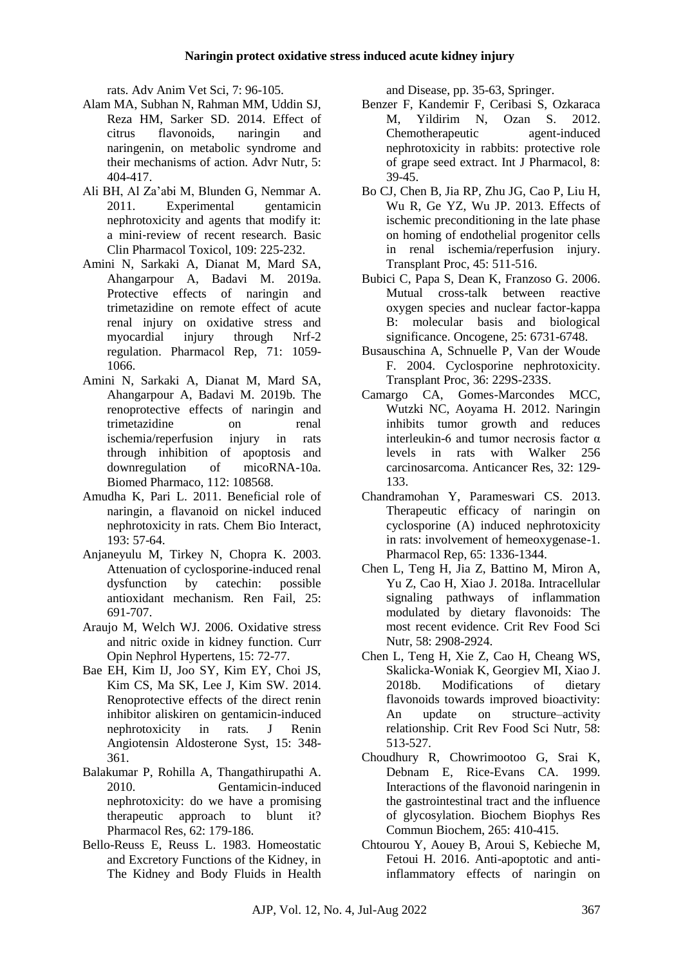rats. Adv Anim Vet Sci, 7: 96-105.

- Alam MA, Subhan N, Rahman MM, Uddin SJ, Reza HM, Sarker SD. 2014. Effect of citrus flavonoids, naringin and naringenin, on metabolic syndrome and their mechanisms of action. Advr Nutr, 5: 404-417.
- Ali BH, Al Za'abi M, Blunden G, Nemmar A. 2011. Experimental gentamicin nephrotoxicity and agents that modify it: a mini‐review of recent research. Basic Clin Pharmacol Toxicol, 109: 225-232.
- Amini N, Sarkaki A, Dianat M, Mard SA, Ahangarpour A, Badavi M. 2019a. Protective effects of naringin and trimetazidine on remote effect of acute renal injury on oxidative stress and myocardial injury through Nrf-2 regulation. Pharmacol Rep, 71: 1059- 1066.
- Amini N, Sarkaki A, Dianat M, Mard SA, Ahangarpour A, Badavi M. 2019b. The renoprotective effects of naringin and trimetazidine on renal ischemia/reperfusion injury in rats through inhibition of apoptosis and downregulation of micoRNA-10a. Biomed Pharmaco, 112: 108568.
- Amudha K, Pari L. 2011. Beneficial role of naringin, a flavanoid on nickel induced nephrotoxicity in rats. Chem Bio Interact, 193: 57-64.
- Anjaneyulu M, Tirkey N, Chopra K. 2003. Attenuation of cyclosporine-induced renal dysfunction by catechin: possible antioxidant mechanism. Ren Fail, 25: 691-707.
- Araujo M, Welch WJ. 2006. Oxidative stress and nitric oxide in kidney function. Curr Opin Nephrol Hypertens, 15: 72-77.
- Bae EH, Kim IJ, Joo SY, Kim EY, Choi JS, Kim CS, Ma SK, Lee J, Kim SW. 2014. Renoprotective effects of the direct renin inhibitor aliskiren on gentamicin-induced nephrotoxicity in rats. J Renin Angiotensin Aldosterone Syst, 15: 348- 361.
- Balakumar P, Rohilla A, Thangathirupathi A. 2010. Gentamicin-induced nephrotoxicity: do we have a promising therapeutic approach to blunt it? Pharmacol Res, 62: 179-186.
- Bello-Reuss E, Reuss L. 1983. Homeostatic and Excretory Functions of the Kidney, in The Kidney and Body Fluids in Health

and Disease, pp. 35-63, Springer.

- Benzer F, Kandemir F, Ceribasi S, Ozkaraca M, Yildirim N, Ozan S. 2012. Chemotherapeutic agent-induced nephrotoxicity in rabbits: protective role of grape seed extract. Int J Pharmacol, 8: 39-45.
- Bo CJ, Chen B, Jia RP, Zhu JG, Cao P, Liu H, Wu R, Ge YZ, Wu JP. 2013. Effects of ischemic preconditioning in the late phase on homing of endothelial progenitor cells in renal ischemia/reperfusion injury. Transplant Proc, 45: 511-516.
- Bubici C, Papa S, Dean K, Franzoso G. 2006. Mutual cross-talk between reactive oxygen species and nuclear factor-kappa B: molecular basis and biological significance. Oncogene, 25: 6731-6748.
- Busauschina A, Schnuelle P, Van der Woude F. 2004. Cyclosporine nephrotoxicity. Transplant Proc, 36: 229S-233S.
- Camargo CA, Gomes-Marcondes MCC, Wutzki NC, Aoyama H. 2012. Naringin inhibits tumor growth and reduces interleukin-6 and tumor necrosis factor α levels in rats with Walker 256 carcinosarcoma. Anticancer Res, 32: 129- 133.
- Chandramohan Y, Parameswari CS. 2013. Therapeutic efficacy of naringin on cyclosporine (A) induced nephrotoxicity in rats: involvement of hemeoxygenase-1. Pharmacol Rep, 65: 1336-1344.
- Chen L, Teng H, Jia Z, Battino M, Miron A, Yu Z, Cao H, Xiao J. 2018a. Intracellular signaling pathways of inflammation modulated by dietary flavonoids: The most recent evidence. Crit Rev Food Sci Nutr, 58: 2908-2924.
- Chen L, Teng H, Xie Z, Cao H, Cheang WS, Skalicka-Woniak K, Georgiev MI, Xiao J. 2018b. Modifications of dietary flavonoids towards improved bioactivity: An update on structure–activity relationship. Crit Rev Food Sci Nutr, 58: 513-527.
- Choudhury R, Chowrimootoo G, Srai K, Debnam E, Rice-Evans CA. 1999. Interactions of the flavonoid naringenin in the gastrointestinal tract and the influence of glycosylation. Biochem Biophys Res Commun Biochem, 265: 410-415.
- Chtourou Y, Aouey B, Aroui S, Kebieche M, Fetoui H. 2016. Anti-apoptotic and antiinflammatory effects of naringin on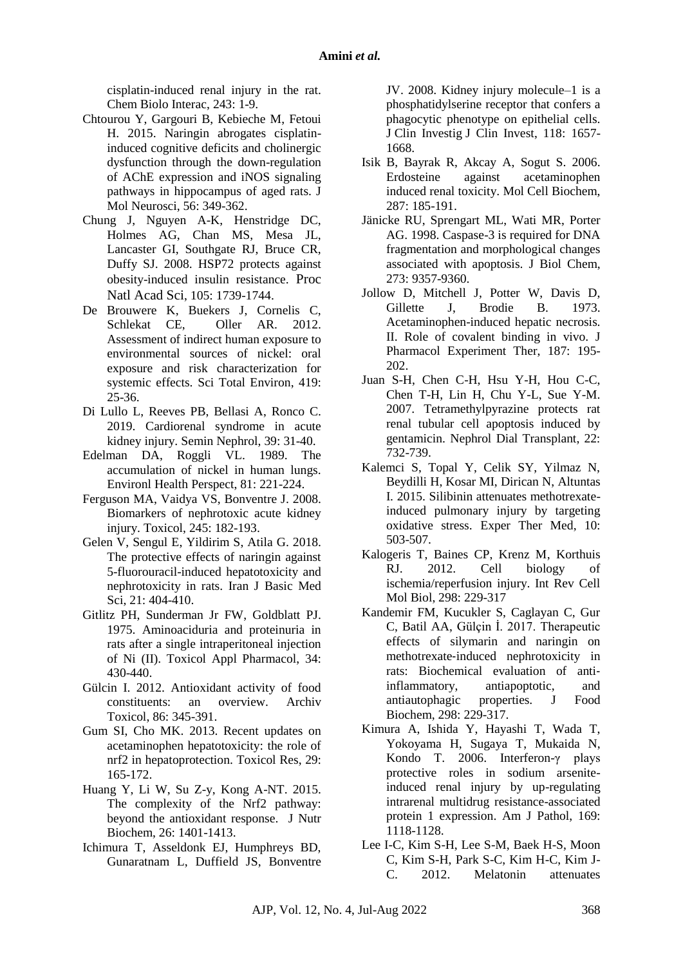cisplatin-induced renal injury in the rat. Chem Biolo Interac, 243: 1-9.

- Chtourou Y, Gargouri B, Kebieche M, Fetoui H. 2015. Naringin abrogates cisplatininduced cognitive deficits and cholinergic dysfunction through the down-regulation of AChE expression and iNOS signaling pathways in hippocampus of aged rats. J Mol Neurosci, 56: 349-362.
- Chung J, Nguyen A-K, Henstridge DC, Holmes AG, Chan MS, Mesa JL, Lancaster GI, Southgate RJ, Bruce CR, Duffy SJ. 2008. HSP72 protects against obesity-induced insulin resistance. Proc Natl Acad Sci, 105: 1739-1744.
- De Brouwere K, Buekers J, Cornelis C, Schlekat CE, Oller AR. 2012. Assessment of indirect human exposure to environmental sources of nickel: oral exposure and risk characterization for systemic effects. Sci Total Environ, 419: 25-36.
- Di Lullo L, Reeves PB, Bellasi A, Ronco C. 2019. Cardiorenal syndrome in acute kidney injury. Semin Nephrol, 39: 31-40.
- Edelman DA, Roggli VL. 1989. The accumulation of nickel in human lungs. Environl Health Perspect, 81: 221-224.
- Ferguson MA, Vaidya VS, Bonventre J. 2008. Biomarkers of nephrotoxic acute kidney injury. Toxicol, 245: 182-193.
- Gelen V, Sengul E, Yildirim S, Atila G. 2018. The protective effects of naringin against 5-fluorouracil-induced hepatotoxicity and nephrotoxicity in rats. Iran J Basic Med Sci, 21: 404-410.
- Gitlitz PH, Sunderman Jr FW, Goldblatt PJ. 1975. Aminoaciduria and proteinuria in rats after a single intraperitoneal injection of Ni (II). Toxicol Appl Pharmacol, 34: 430-440.
- Gülcin I. 2012. Antioxidant activity of food constituents: an overview. Archiv Toxicol, 86: 345-391.
- Gum SI, Cho MK. 2013. Recent updates on acetaminophen hepatotoxicity: the role of nrf2 in hepatoprotection. Toxicol Res, 29: 165-172.
- Huang Y, Li W, Su Z-y, Kong A-NT. 2015. The complexity of the Nrf2 pathway: beyond the antioxidant response. J Nutr Biochem, 26: 1401-1413.
- Ichimura T, Asseldonk EJ, Humphreys BD, Gunaratnam L, Duffield JS, Bonventre

JV. 2008. Kidney injury molecule–1 is a phosphatidylserine receptor that confers a phagocytic phenotype on epithelial cells. J Clin Investig J Clin Invest, 118: 1657- 1668.

- Isik B, Bayrak R, Akcay A, Sogut S. 2006. Erdosteine against acetaminophen induced renal toxicity. Mol Cell Biochem, 287: 185-191.
- Jänicke RU, Sprengart ML, Wati MR, Porter AG. 1998. Caspase-3 is required for DNA fragmentation and morphological changes associated with apoptosis. J Biol Chem, 273: 9357-9360.
- Jollow D, Mitchell J, Potter W, Davis D, Gillette J, Brodie B. 1973. Acetaminophen-induced hepatic necrosis. II. Role of covalent binding in vivo. J Pharmacol Experiment Ther, 187: 195- 202.
- Juan S-H, Chen C-H, Hsu Y-H, Hou C-C, Chen T-H, Lin H, Chu Y-L, Sue Y-M. 2007. Tetramethylpyrazine protects rat renal tubular cell apoptosis induced by gentamicin. Nephrol Dial Transplant, 22: 732-739.
- Kalemci S, Topal Y, Celik SY, Yilmaz N, Beydilli H, Kosar MI, Dirican N, Altuntas I. 2015. Silibinin attenuates methotrexateinduced pulmonary injury by targeting oxidative stress. Exper Ther Med, 10: 503-507.
- Kalogeris T, Baines CP, Krenz M, Korthuis RJ. 2012. Cell biology of ischemia/reperfusion injury. Int Rev Cell Mol Biol, 298: 229-317
- Kandemir FM, Kucukler S, Caglayan C, Gur C, Batil AA, Gülçin İ. 2017. Therapeutic effects of silymarin and naringin on methotrexate‐induced nephrotoxicity in rats: Biochemical evaluation of anti‐ inflammatory, antiapoptotic, and antiautophagic properties. J Food Biochem, 298: 229-317.
- Kimura A, Ishida Y, Hayashi T, Wada T, Yokoyama H, Sugaya T, Mukaida N, Kondo T. 2006. Interferon-γ plays protective roles in sodium arseniteinduced renal injury by up-regulating intrarenal multidrug resistance-associated protein 1 expression. Am J Pathol, 169: 1118-1128.
- Lee I-C, Kim S-H, Lee S-M, Baek H-S, Moon C, Kim S-H, Park S-C, Kim H-C, Kim J-C. 2012. Melatonin attenuates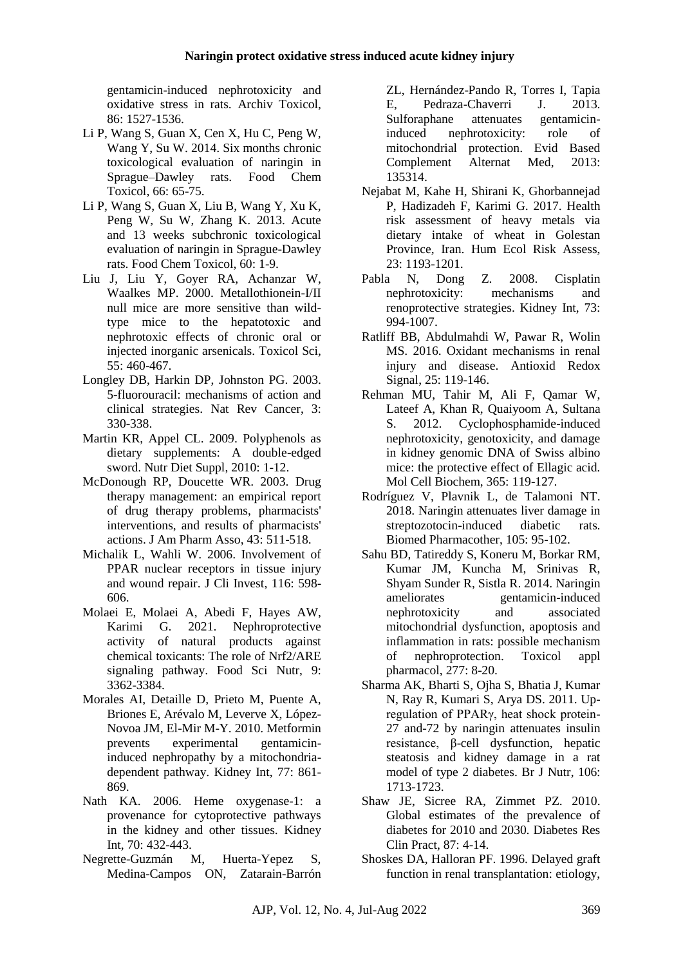gentamicin-induced nephrotoxicity and oxidative stress in rats. Archiv Toxicol, 86: 1527-1536.

- Li P, Wang S, Guan X, Cen X, Hu C, Peng W, Wang Y, Su W. 2014. Six months chronic toxicological evaluation of naringin in Sprague–Dawley rats. Food Chem Toxicol, 66: 65-75.
- Li P, Wang S, Guan X, Liu B, Wang Y, Xu K, Peng W, Su W, Zhang K. 2013. Acute and 13 weeks subchronic toxicological evaluation of naringin in Sprague-Dawley rats. Food Chem Toxicol, 60: 1-9.
- Liu J, Liu Y, Goyer RA, Achanzar W, Waalkes MP. 2000. Metallothionein-I/II null mice are more sensitive than wildtype mice to the hepatotoxic and nephrotoxic effects of chronic oral or injected inorganic arsenicals. Toxicol Sci, 55: 460-467.
- Longley DB, Harkin DP, Johnston PG. 2003. 5-fluorouracil: mechanisms of action and clinical strategies. Nat Rev Cancer, 3: 330-338.
- Martin KR, Appel CL. 2009. Polyphenols as dietary supplements: A double-edged sword. Nutr Diet Suppl, 2010: 1-12.
- McDonough RP, Doucette WR. 2003. Drug therapy management: an empirical report of drug therapy problems, pharmacists' interventions, and results of pharmacists' actions. J Am Pharm Asso, 43: 511-518.
- Michalik L, Wahli W. 2006. Involvement of PPAR nuclear receptors in tissue injury and wound repair. J Cli Invest, 116: 598- 606.
- Molaei E, Molaei A, Abedi F, Hayes AW, Karimi G. 2021. Nephroprotective activity of natural products against chemical toxicants: The role of Nrf2/ARE signaling pathway. Food Sci Nutr, 9: 3362-3384.
- Morales AI, Detaille D, Prieto M, Puente A, Briones E, Arévalo M, Leverve X, López-Novoa JM, El-Mir M-Y. 2010. Metformin prevents experimental gentamicininduced nephropathy by a mitochondriadependent pathway. Kidney Int, 77: 861- 869.
- Nath KA. 2006. Heme oxygenase-1: a provenance for cytoprotective pathways in the kidney and other tissues. Kidney Int, 70: 432-443.
- Negrette-Guzmán M, Huerta-Yepez S, Medina-Campos ON, Zatarain-Barrón

ZL, Hernández-Pando R, Torres I, Tapia E, Pedraza-Chaverri J. 2013. Sulforaphane attenuates gentamicininduced nephrotoxicity: role of mitochondrial protection. Evid Based Complement Alternat Med, 2013: 135314.

- Nejabat M, Kahe H, Shirani K, Ghorbannejad P, Hadizadeh F, Karimi G. 2017. Health risk assessment of heavy metals via dietary intake of wheat in Golestan Province, Iran. Hum Ecol Risk Assess, 23: 1193-1201.
- Pabla N, Dong Z. 2008. Cisplatin nephrotoxicity: mechanisms and renoprotective strategies. Kidney Int, 73: 994-1007.
- Ratliff BB, Abdulmahdi W, Pawar R, Wolin MS. 2016. Oxidant mechanisms in renal injury and disease. Antioxid Redox Signal, 25: 119-146.
- Rehman MU, Tahir M, Ali F, Qamar W, Lateef A, Khan R, Quaiyoom A, Sultana S. 2012. Cyclophosphamide-induced nephrotoxicity, genotoxicity, and damage in kidney genomic DNA of Swiss albino mice: the protective effect of Ellagic acid. Mol Cell Biochem, 365: 119-127.
- Rodríguez V, Plavnik L, de Talamoni NT. 2018. Naringin attenuates liver damage in streptozotocin-induced diabetic rats. Biomed Pharmacother, 105: 95-102.
- Sahu BD, Tatireddy S, Koneru M, Borkar RM, Kumar JM, Kuncha M, Srinivas R, Shyam Sunder R, Sistla R. 2014. Naringin ameliorates gentamicin-induced nephrotoxicity and associated mitochondrial dysfunction, apoptosis and inflammation in rats: possible mechanism of nephroprotection. Toxicol appl pharmacol, 277: 8-20.
- Sharma AK, Bharti S, Ojha S, Bhatia J, Kumar N, Ray R, Kumari S, Arya DS. 2011. Upregulation of PPARγ, heat shock protein-27 and-72 by naringin attenuates insulin resistance, β-cell dysfunction, hepatic steatosis and kidney damage in a rat model of type 2 diabetes. Br J Nutr, 106: 1713-1723.
- Shaw JE, Sicree RA, Zimmet PZ. 2010. Global estimates of the prevalence of diabetes for 2010 and 2030. Diabetes Res Clin Pract, 87: 4-14.
- Shoskes DA, Halloran PF. 1996. Delayed graft function in renal transplantation: etiology,